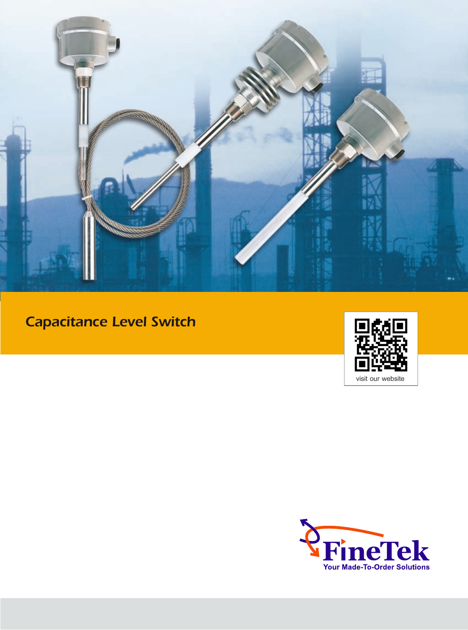

# Capacitance Level Switch



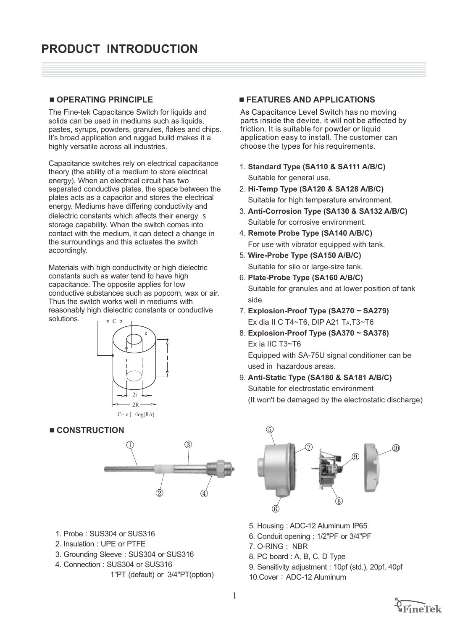## 4 **OPERATING PRINCIPLE**

The Fine-tek Capacitance Switch for liquids and solids can be used in mediums such as liquids, pastes, syrups, powders, granules, flakes and chips. It's broad application and rugged build makes it a highly versatile across all industries.

Capacitance switches rely on electrical capacitance theory (the ability of a medium to store electrical energy). When an electrical circuit has two separated conductive plates, the space between the plates acts as a capacitor and stores the electrical energy. Mediums have differing conductivity and dielectric constants which affects their energy s storage capability. When the switch comes into contact with the medium, it can detect a change in the surroundings and this actuates the switch accordingly.

 $\Gamma$ Materials with high conductivity or high dielectric constants such as water tend to have high capacitance. The opposite applies for low conductive substances such as popcorn, wax or air. Thus the switch works well in mediums with reasonably high dielectric constants or conductive solutions.



### 4 **CONSTRUCTION**



- 1. Probe : SUS304 or SUS316
- 2. Insulation : UPE or PTFE
- 3. Grounding Sleeve : SUS304 or SUS316
- 4. Connection : SUS304 or SUS316
	- 1"PT (default) or 3/4"PT(option)

## 4 **FEATURES AND APPLICATIONS**

As Capacitance Level Switch has no moving parts inside the device, it will not be affected by friction. It is suitable for powder or liquid application easy to install. The customer can choose the types for his requirements.

- 1. **Standard Type (SA110 & SA111 A/B/C)** Suitable for general use.
- 2. **Hi-Temp Type (SA120 & SA128 A/B/C)** Suitable for high temperature environment.
- 3. **Anti-Corrosion Type (SA130 & SA132 A/B/C)** Suitable for corrosive environment.
- 4. **Remote Probe Type (SA140 A/B/C)** For use with vibrator equipped with tank.
- 5. **Wire-Probe Type (SA150 A/B/C)** Suitable for silo or large-size tank.
- 6. **Plate-Probe Type (SA160 A/B/C)** Suitable for granules and at lower position of tank side.
- 7. **Explosion-Proof Type (SA270** *~* **SA279)** Ex dia II C T4~T6, DIP A21 TA,T3~T6
- 8. **Explosion-Proof Type (SA370 ~ SA378)** Ex ia IIC T3~T6 Equipped with SA-75U signal conditioner can be

used in hazardous areas.

9. **Anti-Static Type (SA180 & SA181 A/B/C)** Suitable for electrostatic environment (It won't be damaged by the electrostatic discharge)



- 5. Housing : ADC-12 Aluminum IP65
- 6. Conduit opening : 1/2"PF or 3/4"PF
- 7. O-RING : NBR
- 8. PC board : A, B, C, D Type
- 9. Sensitivity adjustment : 10pf (std.), 20pf, 40pf
- 10.Cover: ADC-12 Aluminum

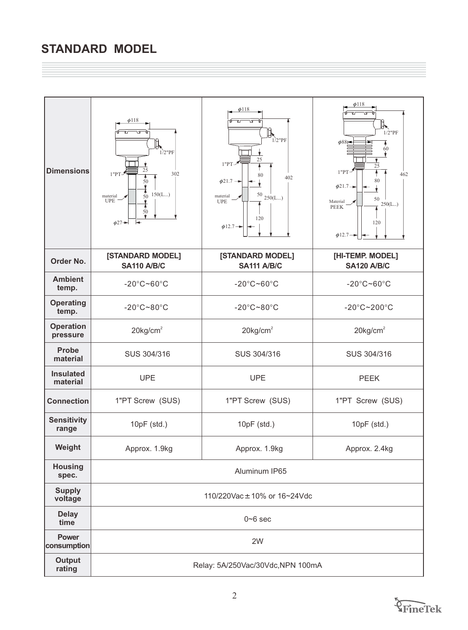# **STANDARD MODEL**

| <b>Dimensions</b>            | $\phi$ 118<br>Ŀ<br>$1/2$ "PF<br>25<br>1"PT"<br>302<br>50<br>150(L)<br>50<br>material<br>UPE<br>50<br>$\phi$ 27 $\rightarrow$ | $\phi$ 118<br>$1/2$ "PF<br>25<br>1"PT<br>80<br>402<br>$\phi$ 21.7 $\rightarrow$<br>$^{50}$ $_{250 \rm (L)}$<br>material<br><b>UPE</b><br>120<br>$\phi$ 12.7 $\rightarrow$ | $\phi$ 118<br>╟╮<br>$1/2$ "PF<br>$\phi$ 88<br>60<br>25<br>$1"PT$ <sup>-2</sup><br>462<br>80<br>$\phi$ 21.7 $\rightarrow$<br>50<br>Material<br>250(L)<br><b>PEEK</b><br>120<br>$\phi$ 12.7 $\rightarrow$ |  |
|------------------------------|------------------------------------------------------------------------------------------------------------------------------|---------------------------------------------------------------------------------------------------------------------------------------------------------------------------|---------------------------------------------------------------------------------------------------------------------------------------------------------------------------------------------------------|--|
| Order No.                    | [STANDARD MODEL]<br><b>SA110 A/B/C</b>                                                                                       | [STANDARD MODEL]<br><b>SA111 A/B/C</b>                                                                                                                                    | [HI-TEMP. MODEL]<br><b>SA120 A/B/C</b>                                                                                                                                                                  |  |
| <b>Ambient</b><br>temp.      | $-20^{\circ}$ C~60 $^{\circ}$ C                                                                                              | $-20^{\circ}$ C~60 $^{\circ}$ C                                                                                                                                           | $-20^{\circ}$ C~60 $^{\circ}$ C                                                                                                                                                                         |  |
| <b>Operating</b><br>temp.    | $-20^{\circ}$ C~80 $^{\circ}$ C                                                                                              | $-20^{\circ}$ C~80 $^{\circ}$ C                                                                                                                                           | $-20^{\circ}$ C~200 $^{\circ}$ C                                                                                                                                                                        |  |
| <b>Operation</b><br>pressure | $20$ kg/cm <sup>2</sup>                                                                                                      | $20$ kg/cm <sup>2</sup>                                                                                                                                                   | $20$ kg/cm <sup>2</sup>                                                                                                                                                                                 |  |
| <b>Probe</b><br>material     | SUS 304/316                                                                                                                  | SUS 304/316                                                                                                                                                               | SUS 304/316                                                                                                                                                                                             |  |
| <b>Insulated</b><br>material | <b>UPE</b>                                                                                                                   | <b>UPE</b>                                                                                                                                                                | <b>PEEK</b>                                                                                                                                                                                             |  |
| <b>Connection</b>            | 1"PT Screw (SUS)                                                                                                             | 1"PT Screw (SUS)                                                                                                                                                          | 1"PT Screw (SUS)                                                                                                                                                                                        |  |
| <b>Sensitivity</b><br>range  | 10pF (std.)                                                                                                                  | 10pF (std.)                                                                                                                                                               | 10pF (std.)                                                                                                                                                                                             |  |
| Weight                       | Approx. 1.9kg                                                                                                                | Approx. 1.9kg                                                                                                                                                             | Approx. 2.4kg                                                                                                                                                                                           |  |
| <b>Housing</b><br>spec.      |                                                                                                                              | Aluminum IP65                                                                                                                                                             |                                                                                                                                                                                                         |  |
| <b>Supply</b><br>voltage     | 110/220Vac ± 10% or 16~24Vdc                                                                                                 |                                                                                                                                                                           |                                                                                                                                                                                                         |  |
| <b>Delay</b><br>time         |                                                                                                                              | $0 - 6$ sec                                                                                                                                                               |                                                                                                                                                                                                         |  |
| <b>Power</b><br>consumption  |                                                                                                                              | 2W                                                                                                                                                                        |                                                                                                                                                                                                         |  |
| <b>Output</b><br>rating      |                                                                                                                              | Relay: 5A/250Vac/30Vdc, NPN 100mA                                                                                                                                         |                                                                                                                                                                                                         |  |

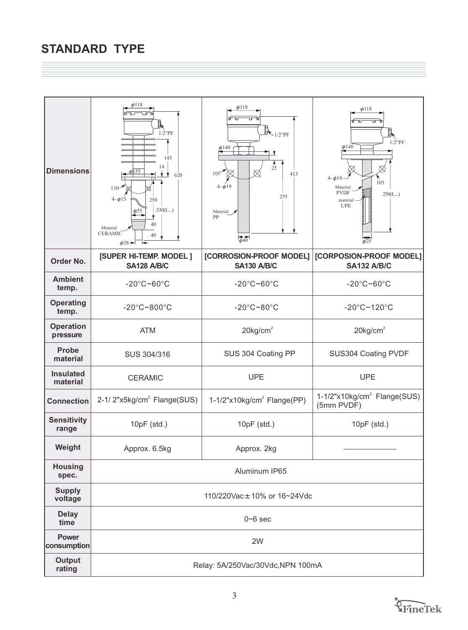# **STANDARD TYPE**

| <b>Dimensions</b>            | $\phi$ 118<br>$1/2$ " $PF$<br>145<br>14<br>$\phi$  155<br>620<br><b>V</b><br>$130^{-7}$<br>$4 - \phi_{15}$<br>250<br>330(L)<br>40<br>Material<br><b>CERAMIC</b><br>40<br>$\phi$ 28 $\rightarrow$ | $\phi$ 118<br>$\mathbb{R}_{1/2"PF}$<br>$\frac{\phi_{140}}{2}$<br>$rac{4}{25}$<br>105 <sup>4</sup><br>M<br>413<br>$4 - \phi 19$<br>255<br>Material $\sqrt{ }$<br>PP<br>$rac{1}{\phi 40}$ | $\phi$ 118<br>$1/2$ "PF<br>$\phi$ 140<br>$4 - \phi 19$<br>105<br>Material<br><b>PVDF</b><br>250(L)<br>material<br><b>UPE</b><br>$\phi$ 25 |  |
|------------------------------|--------------------------------------------------------------------------------------------------------------------------------------------------------------------------------------------------|-----------------------------------------------------------------------------------------------------------------------------------------------------------------------------------------|-------------------------------------------------------------------------------------------------------------------------------------------|--|
| Order No.                    | [SUPER HI-TEMP. MODEL]<br><b>SA128 A/B/C</b>                                                                                                                                                     | [CORROSION-PROOF MODEL]<br><b>SA130 A/B/C</b>                                                                                                                                           | [CORPOSION-PROOF MODEL]<br><b>SA132 A/B/C</b>                                                                                             |  |
| <b>Ambient</b><br>temp.      | $-20^{\circ}$ C~60 $^{\circ}$ C                                                                                                                                                                  | $-20^{\circ}$ C~60 $^{\circ}$ C                                                                                                                                                         | $-20^{\circ}$ C~60 $^{\circ}$ C                                                                                                           |  |
| <b>Operating</b><br>temp.    | $-20^{\circ}$ C~800 $^{\circ}$ C                                                                                                                                                                 | $-20^{\circ}$ C~80 $^{\circ}$ C                                                                                                                                                         | $-20^{\circ}$ C~120 $^{\circ}$ C                                                                                                          |  |
| <b>Operation</b><br>pressure | <b>ATM</b>                                                                                                                                                                                       | $20$ kg/cm <sup>2</sup>                                                                                                                                                                 | $20$ kg/cm <sup>2</sup>                                                                                                                   |  |
| Probe<br>material            | SUS 304/316                                                                                                                                                                                      | SUS 304 Coating PP                                                                                                                                                                      | SUS304 Coating PVDF                                                                                                                       |  |
| <b>Insulated</b><br>material | <b>CERAMIC</b>                                                                                                                                                                                   | <b>UPE</b>                                                                                                                                                                              | <b>UPE</b>                                                                                                                                |  |
| <b>Connection</b>            | 2-1/2"x5kg/cm <sup>2</sup> Flange(SUS)                                                                                                                                                           | $1-1/2$ "x10kg/cm <sup>2</sup> Flange(PP)                                                                                                                                               | 1-1/2"x10kg/cm <sup>2</sup> Flange(SUS)<br>(5mm PVDF)                                                                                     |  |
| <b>Sensitivity</b><br>range  | 10pF (std.)                                                                                                                                                                                      | 10pF (std.)                                                                                                                                                                             | 10pF (std.)                                                                                                                               |  |
| Weight                       | Approx. 6.5kg                                                                                                                                                                                    | Approx. 2kg                                                                                                                                                                             |                                                                                                                                           |  |
| <b>Housing</b><br>spec.      |                                                                                                                                                                                                  | Aluminum IP65                                                                                                                                                                           |                                                                                                                                           |  |
| <b>Supply</b><br>voltage     | 110/220Vac ± 10% or 16~24Vdc                                                                                                                                                                     |                                                                                                                                                                                         |                                                                                                                                           |  |
| <b>Delay</b><br>time         |                                                                                                                                                                                                  | $0 - 6$ sec                                                                                                                                                                             |                                                                                                                                           |  |
| <b>Power</b><br>consumption  |                                                                                                                                                                                                  | 2W                                                                                                                                                                                      |                                                                                                                                           |  |
| <b>Output</b><br>rating      |                                                                                                                                                                                                  | Relay: 5A/250Vac/30Vdc,NPN 100mA                                                                                                                                                        |                                                                                                                                           |  |

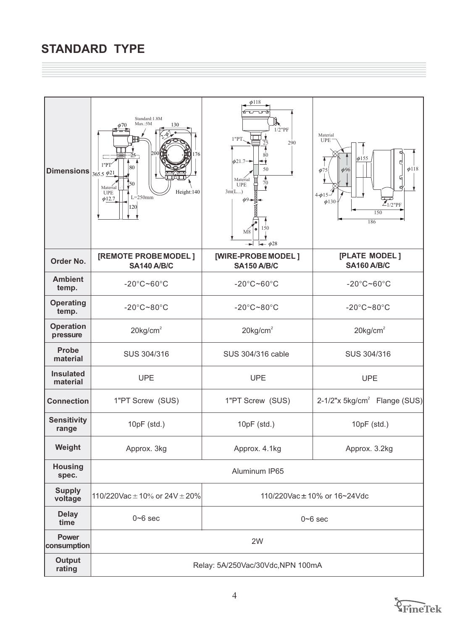| <b>Dimensions</b>            | Standard:1.8M<br>Max.:5M<br>130<br>φ70<br>2000<br>176<br>-25<br>1"PT'<br>80<br>$365.5 \frac{\phi21}{2}$<br>I50<br>Material<br>Height:140<br><b>UPE</b><br>$L = 250$ mm<br>$\phi$ 12.7<br>120 | $\phi$ 118<br>TГ<br>⊮⊾<br>$1/2$ "PF<br>1"PT<br>290<br>25<br>80<br>$\phi$ 21.7 $\rightarrow$<br>≁<br>50<br>Material<br>70<br><b>UPE</b><br>3m(L)<br>$\phi$ 9+<br>150<br>٠<br>$M_8$<br>$\rightarrow$ $\phi$ 28 | Material<br><b>UPE</b><br>$\phi$ 155<br>$\phi$ 118<br>$\phi$ 96<br>$\phi$ 75<br>ิผ<br>d<br>$4 - \phi 15 -$<br>$\phi$ 130<br>$\widetilde{\mathcal{Z}_{1/2}}$ "PF<br>150<br>186 |
|------------------------------|----------------------------------------------------------------------------------------------------------------------------------------------------------------------------------------------|--------------------------------------------------------------------------------------------------------------------------------------------------------------------------------------------------------------|-------------------------------------------------------------------------------------------------------------------------------------------------------------------------------|
| Order No.                    | [REMOTE PROBE MODEL]<br><b>SA140 A/B/C</b>                                                                                                                                                   | [WIRE-PROBE MODEL]<br><b>SA150 A/B/C</b>                                                                                                                                                                     | [PLATE MODEL]<br><b>SA160 A/B/C</b>                                                                                                                                           |
| <b>Ambient</b><br>temp.      | $-20^{\circ}$ C~60 $^{\circ}$ C                                                                                                                                                              | $-20^{\circ}$ C~60 $^{\circ}$ C                                                                                                                                                                              | $-20^{\circ}$ C~60 $^{\circ}$ C                                                                                                                                               |
| <b>Operating</b><br>temp.    | $-20^{\circ}$ C~80 $^{\circ}$ C                                                                                                                                                              | $-20^{\circ}$ C~80 $^{\circ}$ C                                                                                                                                                                              | $-20^{\circ}$ C $-80^{\circ}$ C                                                                                                                                               |
| <b>Operation</b><br>pressure | $20$ kg/cm <sup>2</sup>                                                                                                                                                                      | $20$ kg/cm <sup>2</sup>                                                                                                                                                                                      | $20$ kg/cm <sup>2</sup>                                                                                                                                                       |
| <b>Probe</b><br>material     | SUS 304/316                                                                                                                                                                                  | SUS 304/316 cable                                                                                                                                                                                            | SUS 304/316                                                                                                                                                                   |
| <b>Insulated</b><br>material | <b>UPE</b>                                                                                                                                                                                   | <b>UPE</b>                                                                                                                                                                                                   | <b>UPE</b>                                                                                                                                                                    |
| <b>Connection</b>            | 1"PT Screw (SUS)                                                                                                                                                                             | 1"PT Screw (SUS)                                                                                                                                                                                             | 2-1/2"x 5kg/cm <sup>2</sup> Flange (SUS)                                                                                                                                      |
| <b>Sensitivity</b><br>range  | 10pF (std.)                                                                                                                                                                                  | 10pF (std.)                                                                                                                                                                                                  | 10pF (std.)                                                                                                                                                                   |
| Weight                       | Approx. 3kg                                                                                                                                                                                  | Approx. 4.1kg                                                                                                                                                                                                | Approx. 3.2kg                                                                                                                                                                 |
| <b>Housing</b><br>spec.      | Aluminum IP65                                                                                                                                                                                |                                                                                                                                                                                                              |                                                                                                                                                                               |
| <b>Supply</b><br>voltage     | 110/220Vac $\pm$ 10% or 24V $\pm$ 20%                                                                                                                                                        |                                                                                                                                                                                                              | 110/220Vac ± 10% or 16~24Vdc                                                                                                                                                  |
| <b>Delay</b><br>time         | $0 - 6$ sec                                                                                                                                                                                  |                                                                                                                                                                                                              | $0 - 6$ sec                                                                                                                                                                   |
| Power<br>consumption         |                                                                                                                                                                                              | 2W                                                                                                                                                                                                           |                                                                                                                                                                               |
| <b>Output</b><br>rating      |                                                                                                                                                                                              | Relay: 5A/250Vac/30Vdc, NPN 100mA                                                                                                                                                                            |                                                                                                                                                                               |

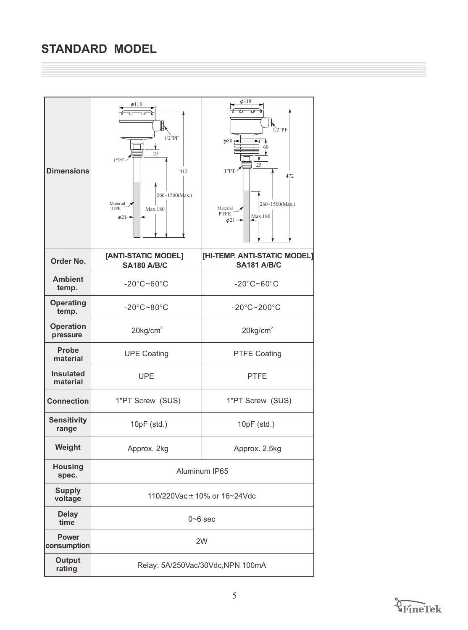# **STANDARD MODEL**

| <b>Dimensions</b>            | $\phi$ 118<br>$1/2$ "PF<br>25<br>1"PT<br>412<br>260~1500(Max.)<br>Material<br><b>UPE</b><br>Max.180<br>$\phi$ 21- $\rightarrow$ | $\phi$ 118<br>$1/2$ "PF<br>$\phi$ 88 H<br>60<br>25<br>1"PT<br>472<br>260~1500(Max.)<br>Material<br><b>PTFE</b><br>Max.180<br>$\phi$ 21- |  |
|------------------------------|---------------------------------------------------------------------------------------------------------------------------------|-----------------------------------------------------------------------------------------------------------------------------------------|--|
| Order No.                    | [ANTI-STATIC MODEL]<br><b>SA180 A/B/C</b>                                                                                       | [HI-TEMP. ANTI-STATIC MODEL]<br><b>SA181 A/B/C</b>                                                                                      |  |
| <b>Ambient</b><br>temp.      | $-20^{\circ}$ C~60 $^{\circ}$ C                                                                                                 | $-20^{\circ}$ C~60 $^{\circ}$ C                                                                                                         |  |
| <b>Operating</b><br>temp.    | $-20^{\circ}$ C~80 $^{\circ}$ C                                                                                                 | $-20^{\circ}$ C~200 $^{\circ}$ C                                                                                                        |  |
| <b>Operation</b><br>pressure | $20$ kg/cm <sup>2</sup>                                                                                                         | $20$ kg/cm <sup>2</sup>                                                                                                                 |  |
| <b>Probe</b><br>material     | <b>UPE Coating</b>                                                                                                              | <b>PTFE Coating</b>                                                                                                                     |  |
| <b>Insulated</b><br>material | <b>UPE</b>                                                                                                                      | <b>PTFE</b>                                                                                                                             |  |
| <b>Connection</b>            | 1"PT Screw (SUS)                                                                                                                | 1"PT Screw (SUS)                                                                                                                        |  |
| <b>Sensitivity</b><br>range  | 10pF (std.)                                                                                                                     | 10pF (std.)                                                                                                                             |  |
| Weight                       | Approx. 2kg                                                                                                                     | Approx. 2.5kg                                                                                                                           |  |
| <b>Housing</b><br>spec.      | Aluminum IP65                                                                                                                   |                                                                                                                                         |  |
| <b>Supply</b><br>voltage     | 110/220Vac ± 10% or 16~24Vdc                                                                                                    |                                                                                                                                         |  |
| <b>Delay</b><br>time         |                                                                                                                                 | $0 - 6$ sec                                                                                                                             |  |
| <b>Power</b><br>consumption  |                                                                                                                                 | 2W                                                                                                                                      |  |
| <b>Output</b><br>rating      |                                                                                                                                 | Relay: 5A/250Vac/30Vdc, NPN 100mA                                                                                                       |  |

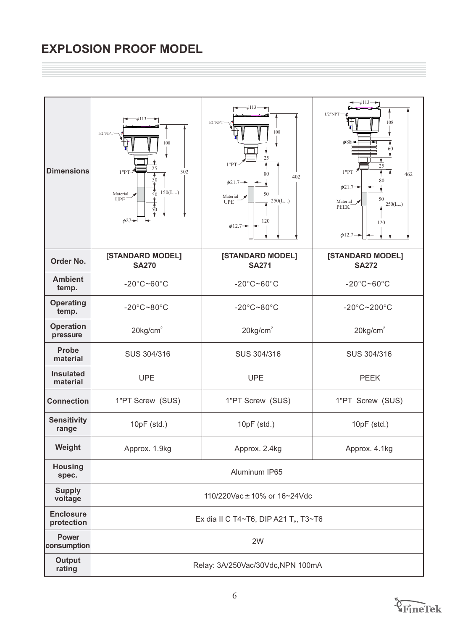# **EXPLOSION PROOF MODEL**

| <b>Dimensions</b>              | $-\phi$ 113 $\longrightarrow$<br>$1/2$ "NPT<br>108<br>25<br>302<br>1"PT"<br>50<br>$\frac{4}{50}$<br>150(L)<br>Material y<br><b>UPE</b><br>50<br>$\phi$ 27 $\rightarrow$ | $-\phi$ 113 $\longrightarrow$<br>$1/2$ "NPT<br>108<br>25<br>1"PT<br>80<br>402<br>$\phi$ 21.7 $\rightarrow$<br>50<br>Material<br>250(L)<br><b>UPE</b><br>120<br>$\phi$ 12.7 $\rightarrow$ | $\leftarrow$ $\phi$ 113 $\rightarrow$<br>$1/2$ "NPT<br>108<br>$\phi$ 88<br>60<br>25<br>$1"PT-$<br>462<br>80<br>$\phi$ 21.7 $\rightarrow$<br>50<br>Material<br>250(L)<br><b>PEEK</b><br>120<br>$\phi$ 12.7- |  |
|--------------------------------|-------------------------------------------------------------------------------------------------------------------------------------------------------------------------|------------------------------------------------------------------------------------------------------------------------------------------------------------------------------------------|------------------------------------------------------------------------------------------------------------------------------------------------------------------------------------------------------------|--|
| Order No.                      | [STANDARD MODEL]<br><b>SA270</b>                                                                                                                                        | [STANDARD MODEL]<br><b>SA271</b>                                                                                                                                                         | [STANDARD MODEL]<br><b>SA272</b>                                                                                                                                                                           |  |
| <b>Ambient</b><br>temp.        | $-20^{\circ}$ C~60 $^{\circ}$ C                                                                                                                                         | $-20^{\circ}$ C~60 $^{\circ}$ C                                                                                                                                                          | $-20^{\circ}$ C~60 $^{\circ}$ C                                                                                                                                                                            |  |
| <b>Operating</b><br>temp.      | $-20^{\circ}$ C $-80^{\circ}$ C                                                                                                                                         | $-20^{\circ}$ C~80 $^{\circ}$ C                                                                                                                                                          | $-20^{\circ}$ C $-200^{\circ}$ C                                                                                                                                                                           |  |
| <b>Operation</b><br>pressure   | $20$ kg/cm <sup>2</sup>                                                                                                                                                 | $20$ kg/cm <sup>2</sup>                                                                                                                                                                  | $20$ kg/cm <sup>2</sup>                                                                                                                                                                                    |  |
| <b>Probe</b><br>material       | SUS 304/316                                                                                                                                                             | SUS 304/316                                                                                                                                                                              | SUS 304/316                                                                                                                                                                                                |  |
| <b>Insulated</b><br>material   | <b>UPE</b>                                                                                                                                                              | <b>UPE</b>                                                                                                                                                                               | <b>PEEK</b>                                                                                                                                                                                                |  |
| <b>Connection</b>              | 1"PT Screw (SUS)                                                                                                                                                        | 1"PT Screw (SUS)                                                                                                                                                                         | 1"PT Screw (SUS)                                                                                                                                                                                           |  |
| <b>Sensitivity</b><br>range    | 10pF (std.)                                                                                                                                                             | 10pF (std.)                                                                                                                                                                              | 10pF (std.)                                                                                                                                                                                                |  |
| Weight                         | Approx. 1.9kg                                                                                                                                                           | Approx. 2.4kg                                                                                                                                                                            | Approx. 4.1kg                                                                                                                                                                                              |  |
| <b>Housing</b><br>spec.        |                                                                                                                                                                         | Aluminum IP65                                                                                                                                                                            |                                                                                                                                                                                                            |  |
| <b>Supply</b><br>voltage       | 110/220Vac ± 10% or 16~24Vdc                                                                                                                                            |                                                                                                                                                                                          |                                                                                                                                                                                                            |  |
| <b>Enclosure</b><br>protection |                                                                                                                                                                         | Ex dia II C T4~T6, DIP A21 T <sub>A</sub> , T3~T6                                                                                                                                        |                                                                                                                                                                                                            |  |
| <b>Power</b><br>consumption    |                                                                                                                                                                         | 2W                                                                                                                                                                                       |                                                                                                                                                                                                            |  |
| <b>Output</b><br>rating        |                                                                                                                                                                         | Relay: 3A/250Vac/30Vdc, NPN 100mA                                                                                                                                                        |                                                                                                                                                                                                            |  |

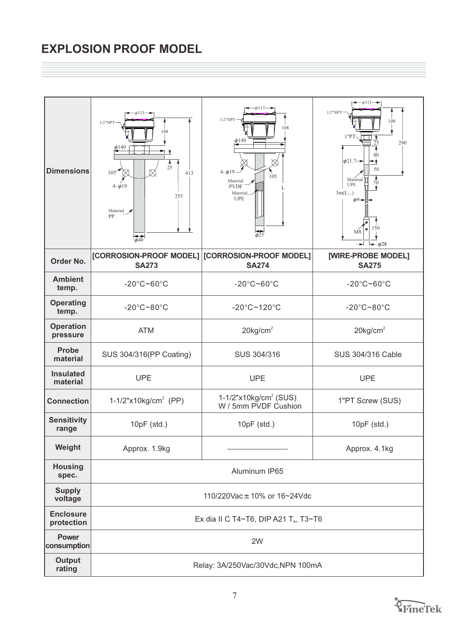# **EXPLOSION PROOF MODEL**

| <b>Dimensions</b>              | $-\phi$ 113 $\rightarrow$<br>$1/2$ "NPT<br>108<br>$\phi$ 140<br>-V<br>$\frac{4}{25}$<br>$105$ <sup></sup><br>$\otimes$<br>$\otimes$<br>413<br>$4 - \phi 19$<br>255<br>Material $\blacktriangleright$<br>PP<br>$\phi$ <sup>40</sup> | φ113·<br>$1/2$ "NPT<br>108<br>$\phi$ 140<br>$4 - \phi 19$<br>105<br>Material<br><b>PVDF</b><br>Material<br><b>UPE</b><br>$\phi$ 25 | $\leftarrow$ $\phi$ 113 $\rightarrow$<br>$1/2$ "NPT<br>108<br>1"PT<br>290<br>25<br>ጸበ<br>$\phi$ 21.7-<br>≁γ<br>50<br>$rac{4}{70}$<br>Material<br><b>UPE</b><br>3m(L)<br>$\phi$ <sup>9</sup> $\rightarrow$<br>150<br>M8<br>$-\phi$ 28 |  |
|--------------------------------|------------------------------------------------------------------------------------------------------------------------------------------------------------------------------------------------------------------------------------|------------------------------------------------------------------------------------------------------------------------------------|--------------------------------------------------------------------------------------------------------------------------------------------------------------------------------------------------------------------------------------|--|
| Order No.                      | [CORROSION-PROOF MODEL]<br><b>SA273</b>                                                                                                                                                                                            | [CORROSION-PROOF MODEL]<br><b>SA274</b>                                                                                            | [WIRE-PROBE MODEL]<br><b>SA275</b>                                                                                                                                                                                                   |  |
| <b>Ambient</b><br>temp.        | $-20^{\circ}$ C~60 $^{\circ}$ C                                                                                                                                                                                                    | $-20^{\circ}$ C~60 $^{\circ}$ C                                                                                                    | $-20^{\circ}$ C~60 $^{\circ}$ C                                                                                                                                                                                                      |  |
| <b>Operating</b><br>temp.      | $-20^{\circ}$ C~80 $^{\circ}$ C                                                                                                                                                                                                    | $-20^{\circ}$ C~120 $^{\circ}$ C                                                                                                   | $-20^{\circ}$ C~80 $^{\circ}$ C                                                                                                                                                                                                      |  |
| <b>Operation</b><br>pressure   | <b>ATM</b>                                                                                                                                                                                                                         | $20$ kg/cm <sup>2</sup>                                                                                                            | $20$ kg/cm <sup>2</sup>                                                                                                                                                                                                              |  |
| <b>Probe</b><br>material       | SUS 304/316(PP Coating)                                                                                                                                                                                                            | SUS 304/316                                                                                                                        | SUS 304/316 Cable                                                                                                                                                                                                                    |  |
| <b>Insulated</b><br>material   | <b>UPE</b>                                                                                                                                                                                                                         | <b>UPE</b>                                                                                                                         | <b>UPE</b>                                                                                                                                                                                                                           |  |
| <b>Connection</b>              | 1-1/2"x10kg/cm <sup>2</sup> (PP)                                                                                                                                                                                                   | $1-1/2"x10kg/cm2 (SUS)$<br>W / 5mm PVDF Cushion                                                                                    | 1"PT Screw (SUS)                                                                                                                                                                                                                     |  |
| <b>Sensitivity</b><br>range    | 10pF (std.)                                                                                                                                                                                                                        | $10pF$ (std.)                                                                                                                      | $10pF$ (std.)                                                                                                                                                                                                                        |  |
| Weight                         | Approx. 1.9kg                                                                                                                                                                                                                      |                                                                                                                                    | Approx. 4.1kg                                                                                                                                                                                                                        |  |
| <b>Housing</b><br>spec.        |                                                                                                                                                                                                                                    | Aluminum IP65                                                                                                                      |                                                                                                                                                                                                                                      |  |
| <b>Supply</b><br>voltage       | 110/220Vac ± 10% or 16~24Vdc                                                                                                                                                                                                       |                                                                                                                                    |                                                                                                                                                                                                                                      |  |
| <b>Enclosure</b><br>protection |                                                                                                                                                                                                                                    | Ex dia II C T4~T6, DIP A21 T <sub>A</sub> , T3~T6                                                                                  |                                                                                                                                                                                                                                      |  |
| <b>Power</b><br>consumption    |                                                                                                                                                                                                                                    | 2W                                                                                                                                 |                                                                                                                                                                                                                                      |  |
| <b>Output</b><br>rating        |                                                                                                                                                                                                                                    | Relay: 3A/250Vac/30Vdc, NPN 100mA                                                                                                  |                                                                                                                                                                                                                                      |  |

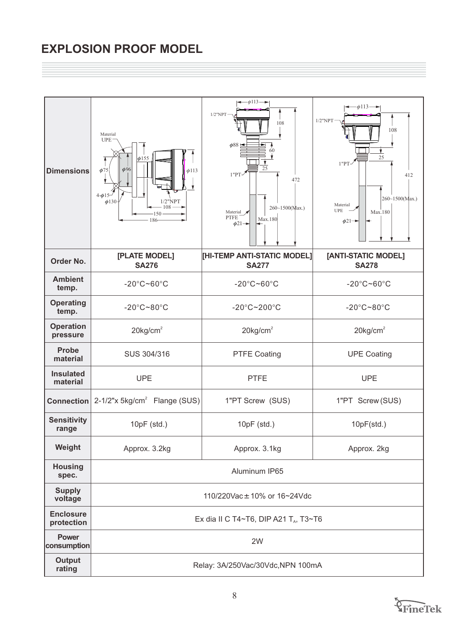# **EXPLOSION PROOF MODEL**

| <b>Dimensions</b>              | Material<br><b>UPE</b><br>$\phi$ 155<br>$\phi$ 96<br>$\phi$ 75<br>$\phi$ 113<br>$4 - \phi 15$<br>$1/2$ "NPT<br>$\phi$ 130<br>108<br>150<br>186 | $\leftarrow \phi 113 \rightarrow$<br>$1/2$ "NPT<br>108<br>$\phi$ 88<br>25<br>$1"PT-$<br>472<br>$260 - 1500$ (Max.)<br>Material x<br><b>PTFE</b><br>Max.180<br>$\phi$ 21 $\rightarrow$ | $-\phi$ 113 $\longrightarrow$<br>$1/2$ "NPT<br>108<br>25<br>$1"PT-$<br>412<br>260~1500(Max.)<br>Material<br><b>UPE</b><br>Max.180<br>$\phi$ 21- |
|--------------------------------|------------------------------------------------------------------------------------------------------------------------------------------------|---------------------------------------------------------------------------------------------------------------------------------------------------------------------------------------|-------------------------------------------------------------------------------------------------------------------------------------------------|
| Order No.                      | [PLATE MODEL]<br><b>SA276</b>                                                                                                                  | [HI-TEMP ANTI-STATIC MODEL]<br><b>SA277</b>                                                                                                                                           | [ANTI-STATIC MODEL]<br><b>SA278</b>                                                                                                             |
| <b>Ambient</b><br>temp.        | $-20^{\circ}$ C~60 $^{\circ}$ C                                                                                                                | $-20^{\circ}$ C~60 $^{\circ}$ C                                                                                                                                                       | $-20^{\circ}$ C~60 $^{\circ}$ C                                                                                                                 |
| <b>Operating</b><br>temp.      | $-20^{\circ}$ C~80 $^{\circ}$ C                                                                                                                | $-20^{\circ}$ C~200 $^{\circ}$ C                                                                                                                                                      | $-20^{\circ}$ C~80 $^{\circ}$ C                                                                                                                 |
| <b>Operation</b><br>pressure   | $20$ kg/cm <sup>2</sup>                                                                                                                        | $20$ kg/cm <sup>2</sup>                                                                                                                                                               | $20$ kg/cm <sup>2</sup>                                                                                                                         |
| Probe<br>material              | SUS 304/316                                                                                                                                    | <b>PTFE Coating</b>                                                                                                                                                                   | <b>UPE Coating</b>                                                                                                                              |
| <b>Insulated</b><br>material   | <b>UPE</b>                                                                                                                                     | <b>PTFE</b>                                                                                                                                                                           | <b>UPE</b>                                                                                                                                      |
| <b>Connection</b>              | $2-1/2"$ x 5kg/cm <sup>2</sup> Flange (SUS)                                                                                                    | 1"PT Screw (SUS)                                                                                                                                                                      | 1"PT Screw (SUS)                                                                                                                                |
| <b>Sensitivity</b><br>range    | 10pF (std.)                                                                                                                                    | $10pF$ (std.)                                                                                                                                                                         | 10pF(std.)                                                                                                                                      |
| Weight                         | Approx. 3.2kg                                                                                                                                  | Approx. 3.1kg                                                                                                                                                                         | Approx. 2kg                                                                                                                                     |
| <b>Housing</b><br>spec.        |                                                                                                                                                | Aluminum IP65                                                                                                                                                                         |                                                                                                                                                 |
| <b>Supply</b><br>voltage       | 110/220Vac ± 10% or 16~24Vdc                                                                                                                   |                                                                                                                                                                                       |                                                                                                                                                 |
| <b>Enclosure</b><br>protection |                                                                                                                                                | Ex dia II C T4~T6, DIP A21 T <sub>A</sub> , T3~T6                                                                                                                                     |                                                                                                                                                 |
| <b>Power</b><br>consumption    |                                                                                                                                                | 2W                                                                                                                                                                                    |                                                                                                                                                 |
| <b>Output</b><br>rating        |                                                                                                                                                | Relay: 3A/250Vac/30Vdc, NPN 100mA                                                                                                                                                     |                                                                                                                                                 |

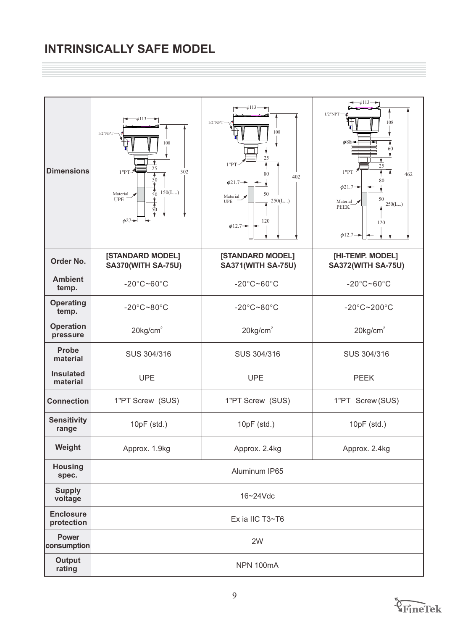# **INTRINSICALLY SAFE MODEL**

| <b>Dimensions</b>              | $-\phi$ 113 $\longrightarrow$<br>$1/2$ "NPT<br>108<br>25<br>1"PT<br>302<br>50<br>$rac{4}{50}$<br>150(L)<br>Material $\sqrt{}$<br><b>UPE</b><br>50<br>$\phi$ 27 $\rightarrow$ | $\phi$ 113.<br>$1/2$ "NPT<br>108<br>25<br>$1"PT-$<br>80<br>402<br>$\phi$ 21.7 $\rightarrow$<br>50<br>Material x<br>250(L)<br><b>UPE</b><br>120<br>$\phi$ 12.7 $\rightarrow$ | $\leftarrow$ $\phi$ 113 $\rightarrow$<br>$1/2$ "NPT<br>108<br>$\phi$ 881<br>60<br>25<br>$1"PT-$<br>462<br>80<br>$\phi$ 21.7 $\rightarrow$<br>50<br>Material<br>250(L)<br><b>PEEK</b><br>120<br>$\phi$ 12.7- |  |
|--------------------------------|------------------------------------------------------------------------------------------------------------------------------------------------------------------------------|-----------------------------------------------------------------------------------------------------------------------------------------------------------------------------|-------------------------------------------------------------------------------------------------------------------------------------------------------------------------------------------------------------|--|
| Order No.                      | [STANDARD MODEL]<br><b>SA370(WITH SA-75U)</b>                                                                                                                                | [STANDARD MODEL]<br><b>SA371(WITH SA-75U)</b>                                                                                                                               | [HI-TEMP. MODEL]<br><b>SA372(WITH SA-75U)</b>                                                                                                                                                               |  |
| <b>Ambient</b><br>temp.        | $-20^{\circ}$ C~60 $^{\circ}$ C                                                                                                                                              | $-20^{\circ}$ C~60 $^{\circ}$ C                                                                                                                                             | $-20^{\circ}$ C $-60^{\circ}$ C                                                                                                                                                                             |  |
| <b>Operating</b><br>temp.      | $-20^{\circ}$ C~80 $^{\circ}$ C                                                                                                                                              | $-20^{\circ}$ C~80 $^{\circ}$ C                                                                                                                                             | $-20^{\circ}$ C~200 $^{\circ}$ C                                                                                                                                                                            |  |
| <b>Operation</b><br>pressure   | $20$ kg/cm <sup>2</sup>                                                                                                                                                      | $20$ kg/cm <sup>2</sup>                                                                                                                                                     | $20$ kg/cm <sup>2</sup>                                                                                                                                                                                     |  |
| <b>Probe</b><br>material       | SUS 304/316                                                                                                                                                                  | SUS 304/316                                                                                                                                                                 | SUS 304/316                                                                                                                                                                                                 |  |
| <b>Insulated</b><br>material   | <b>UPE</b>                                                                                                                                                                   | <b>UPE</b>                                                                                                                                                                  | <b>PEEK</b>                                                                                                                                                                                                 |  |
| <b>Connection</b>              | 1"PT Screw (SUS)                                                                                                                                                             | 1"PT Screw (SUS)                                                                                                                                                            | 1"PT Screw (SUS)                                                                                                                                                                                            |  |
| <b>Sensitivity</b><br>range    | 10pF (std.)                                                                                                                                                                  | 10pF (std.)                                                                                                                                                                 | 10pF (std.)                                                                                                                                                                                                 |  |
| Weight                         | Approx. 1.9kg                                                                                                                                                                | Approx. 2.4kg                                                                                                                                                               | Approx. 2.4kg                                                                                                                                                                                               |  |
| <b>Housing</b><br>spec.        |                                                                                                                                                                              | Aluminum IP65                                                                                                                                                               |                                                                                                                                                                                                             |  |
| <b>Supply</b><br>voltage       | 16~24Vdc                                                                                                                                                                     |                                                                                                                                                                             |                                                                                                                                                                                                             |  |
| <b>Enclosure</b><br>protection |                                                                                                                                                                              | Ex ia IIC T3~T6                                                                                                                                                             |                                                                                                                                                                                                             |  |
| <b>Power</b><br>consumption    |                                                                                                                                                                              | 2W                                                                                                                                                                          |                                                                                                                                                                                                             |  |
| <b>Output</b><br>rating        |                                                                                                                                                                              | NPN 100mA                                                                                                                                                                   |                                                                                                                                                                                                             |  |

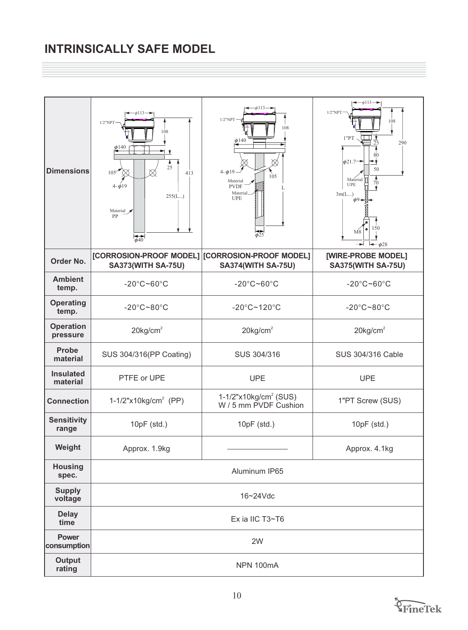# **INTRINSICALLY SAFE MODEL**

| <b>Dimensions</b>            | $-\phi$ 113 $\rightarrow$<br>$1/2$ "NPT<br>108<br>$\phi$ 140<br>$\frac{4}{25}$<br>$105$ <sup>*</sup><br>∞<br>413<br>$4 - \phi 19$<br>255(L)<br>Material $\sqrt{\phantom{a}}$<br>PP<br>$\overline{\phi}$ 40 | $\phi$ 113.<br>$1/2$ "NPT<br>108<br>$\phi$ 140<br>$4 - \phi 19 -$<br>105<br>Material<br><b>PVDF</b><br>Material<br><b>UPE</b><br>ф25 | $\leftarrow$ $\phi$ 113 $\rightarrow$<br>$1/2$ "NPT<br>108<br>$1$ "PT $\,$<br>290<br>25<br>$\phi$ 21.7 <sup>-4</sup><br>≁<br>50<br>Material<br>70<br><b>UPE</b><br>3m(L)<br>$\phi$ <sup>9</sup> $\rightarrow$<br>150<br>$\bullet$<br>M8<br>$\rightarrow \phi$ 28 |  |
|------------------------------|------------------------------------------------------------------------------------------------------------------------------------------------------------------------------------------------------------|--------------------------------------------------------------------------------------------------------------------------------------|------------------------------------------------------------------------------------------------------------------------------------------------------------------------------------------------------------------------------------------------------------------|--|
| Order No.                    | <b>SA373(WITH SA-75U)</b>                                                                                                                                                                                  | [CORROSION-PROOF MODEL] CORROSION-PROOF MODEL]<br><b>SA374(WITH SA-75U)</b>                                                          | [WIRE-PROBE MODEL]<br><b>SA375(WITH SA-75U)</b>                                                                                                                                                                                                                  |  |
| <b>Ambient</b><br>temp.      | $-20^{\circ}$ C~60 $^{\circ}$ C                                                                                                                                                                            | $-20^{\circ}$ C~60 $^{\circ}$ C                                                                                                      | $-20^{\circ}$ C~60 $^{\circ}$ C                                                                                                                                                                                                                                  |  |
| <b>Operating</b><br>temp.    | $-20^{\circ}$ C~80 $^{\circ}$ C                                                                                                                                                                            | $-20^{\circ}$ C~120 $^{\circ}$ C                                                                                                     | $-20^{\circ}$ C~80 $^{\circ}$ C                                                                                                                                                                                                                                  |  |
| <b>Operation</b><br>pressure | $20$ kg/cm <sup>2</sup>                                                                                                                                                                                    | $20$ kg/cm <sup>2</sup>                                                                                                              | $20$ kg/cm <sup>2</sup>                                                                                                                                                                                                                                          |  |
| <b>Probe</b><br>material     | SUS 304/316(PP Coating)                                                                                                                                                                                    | SUS 304/316                                                                                                                          | SUS 304/316 Cable                                                                                                                                                                                                                                                |  |
| <b>Insulated</b><br>material | PTFE or UPE                                                                                                                                                                                                | <b>UPE</b>                                                                                                                           | <b>UPE</b>                                                                                                                                                                                                                                                       |  |
| <b>Connection</b>            | 1-1/2"x10kg/cm <sup>2</sup> (PP)                                                                                                                                                                           | $1-1/2$ "x10kg/cm <sup>2</sup> (SUS)<br>W / 5 mm PVDF Cushion                                                                        | 1"PT Screw (SUS)                                                                                                                                                                                                                                                 |  |
| <b>Sensitivity</b><br>range  | 10pF (std.)                                                                                                                                                                                                | $10pF$ (std.)                                                                                                                        | 10pF (std.)                                                                                                                                                                                                                                                      |  |
| Weight                       | Approx. 1.9kg                                                                                                                                                                                              |                                                                                                                                      | Approx. 4.1kg                                                                                                                                                                                                                                                    |  |
| <b>Housing</b><br>spec.      |                                                                                                                                                                                                            | Aluminum IP65                                                                                                                        |                                                                                                                                                                                                                                                                  |  |
| <b>Supply</b><br>voltage     | 16~24Vdc                                                                                                                                                                                                   |                                                                                                                                      |                                                                                                                                                                                                                                                                  |  |
| <b>Delay</b><br>time         |                                                                                                                                                                                                            | Ex ia IIC T3~T6                                                                                                                      |                                                                                                                                                                                                                                                                  |  |
| <b>Power</b><br>consumption  |                                                                                                                                                                                                            | 2W                                                                                                                                   |                                                                                                                                                                                                                                                                  |  |
| <b>Output</b><br>rating      |                                                                                                                                                                                                            | NPN 100mA                                                                                                                            |                                                                                                                                                                                                                                                                  |  |

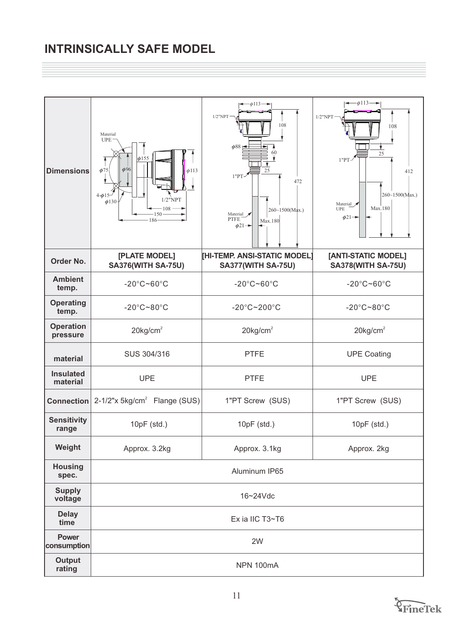# **INTRINSICALLY SAFE MODEL**

| <b>Dimensions</b>            | Material<br><b>UPE</b><br>$\phi$ 155<br>$\phi$ 75<br>$\phi$ 96<br>$\phi$ 113<br>$4 - \phi 15$<br>$1/2$ "NPT<br>$\phi$ 130-<br>108<br>150<br>186 | $\leftarrow$ $\phi$ 113 $\rightarrow$<br>$1/2$ "NPT<br>108<br>$\phi$ 88<br>60<br>25<br>1"PT<br>472<br>260~1500(Max.)<br>Material<br><b>PTFE</b><br>Max.180<br>$\phi$ 21 $\rightarrow$ | $-\phi$ 113 $\rightarrow$<br>$1/2$ "NPT<br>108<br>25<br>$1"PT-$<br>412<br>$260 - 1500$ (Max.)<br>Material y<br>Max.180<br><b>UPE</b><br>$\phi$ 21 $\rightarrow$ |  |
|------------------------------|-------------------------------------------------------------------------------------------------------------------------------------------------|---------------------------------------------------------------------------------------------------------------------------------------------------------------------------------------|-----------------------------------------------------------------------------------------------------------------------------------------------------------------|--|
| Order No.                    | [PLATE MODEL]<br><b>SA376(WITH SA-75U)</b>                                                                                                      | [HI-TEMP. ANSI-STATIC MODEL]<br><b>SA377(WITH SA-75U)</b>                                                                                                                             | [ANTI-STATIC MODEL]<br><b>SA378(WITH SA-75U)</b>                                                                                                                |  |
| <b>Ambient</b><br>temp.      | $-20^{\circ}$ C~60 $^{\circ}$ C                                                                                                                 | $-20^{\circ}$ C~60 $^{\circ}$ C                                                                                                                                                       | $-20^{\circ}$ C~60 $^{\circ}$ C                                                                                                                                 |  |
| <b>Operating</b><br>temp.    | $-20^{\circ}$ C~80 $^{\circ}$ C                                                                                                                 | $-20^{\circ}$ C~200 $^{\circ}$ C                                                                                                                                                      | $-20^{\circ}$ C~80 $^{\circ}$ C                                                                                                                                 |  |
| <b>Operation</b><br>pressure | $20$ kg/cm <sup>2</sup>                                                                                                                         | $20$ kg/cm <sup>2</sup>                                                                                                                                                               | $20$ kg/cm <sup>2</sup>                                                                                                                                         |  |
| material                     | SUS 304/316                                                                                                                                     | <b>PTFE</b>                                                                                                                                                                           | <b>UPE Coating</b>                                                                                                                                              |  |
| <b>Insulated</b><br>material | <b>UPE</b>                                                                                                                                      | <b>PTFE</b>                                                                                                                                                                           | <b>UPE</b>                                                                                                                                                      |  |
|                              | <b>Connection</b> $2-1/2"$ x 5kg/cm <sup>2</sup> Flange (SUS)                                                                                   | 1"PT Screw (SUS)                                                                                                                                                                      | 1"PT Screw (SUS)                                                                                                                                                |  |
| <b>Sensitivity</b><br>range  | 10pF (std.)                                                                                                                                     | 10pF (std.)                                                                                                                                                                           | $10pF$ (std.)                                                                                                                                                   |  |
| Weight                       | Approx. 3.2kg                                                                                                                                   | Approx. 3.1kg                                                                                                                                                                         | Approx. 2kg                                                                                                                                                     |  |
| <b>Housing</b><br>spec.      | Aluminum IP65                                                                                                                                   |                                                                                                                                                                                       |                                                                                                                                                                 |  |
| <b>Supply</b><br>voltage     | 16~24Vdc                                                                                                                                        |                                                                                                                                                                                       |                                                                                                                                                                 |  |
| <b>Delay</b><br>time         |                                                                                                                                                 | Ex ia IIC T3~T6                                                                                                                                                                       |                                                                                                                                                                 |  |
| <b>Power</b><br>consumption  |                                                                                                                                                 | 2W                                                                                                                                                                                    |                                                                                                                                                                 |  |
| <b>Output</b><br>rating      |                                                                                                                                                 | NPN 100mA                                                                                                                                                                             |                                                                                                                                                                 |  |

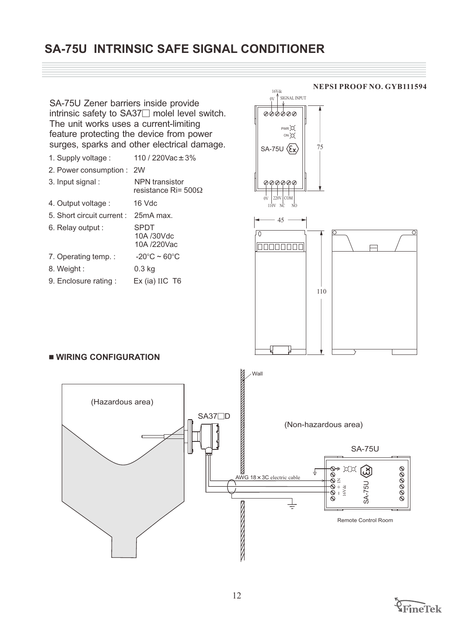## **SA-75U INTRINSIC SAFE SIGNAL CONDITIONER**



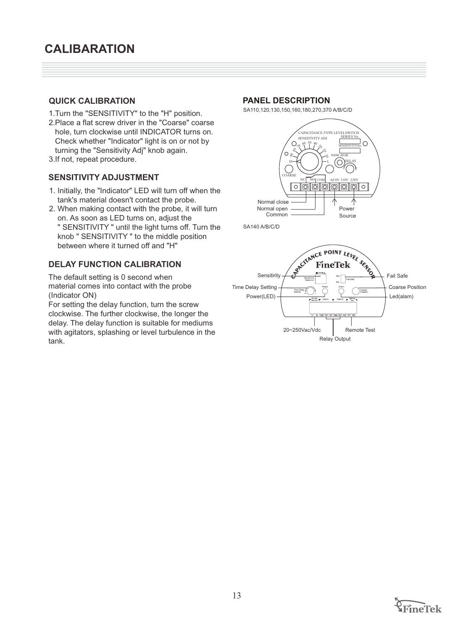## **QUICK CALIBRATION**

- 1.Turn the "SENSITIVITY" to the "H" position.
- 2.Place a flat screw driver in the "Coarse" coarse hole, turn clockwise until INDICATOR turns on. Check whether "Indicator" light is on or not by turning the "Sensitivity Adj" knob again.
- 3.If not, repeat procedure.

## **SENSITIVITY ADJUSTMENT**

- 1. Initially, the "Indicator" LED will turn off when the tank's material doesn't contact the probe.
- 2. When making contact with the probe, it will turn on. As soon as LED turns on, adjust the " SENSITIVITY " until the light turns off. Turn the knob " SENSITIVITY " to the middle position between where it turned off and "H"

## **DELAY FUNCTION CALIBRATION**

The default setting is 0 second when material comes into contact with the probe (Indicator ON)

For setting the delay function, turn the screw clockwise. The further clockwise, the longer the delay. The delay function is suitable for mediums with agitators, splashing or level turbulence in the tank.

#### **PANEL DESCRIPTION**

SA110,120,130,150,160,180,270,370 A/B/C/D



SA140 A/B/C/D



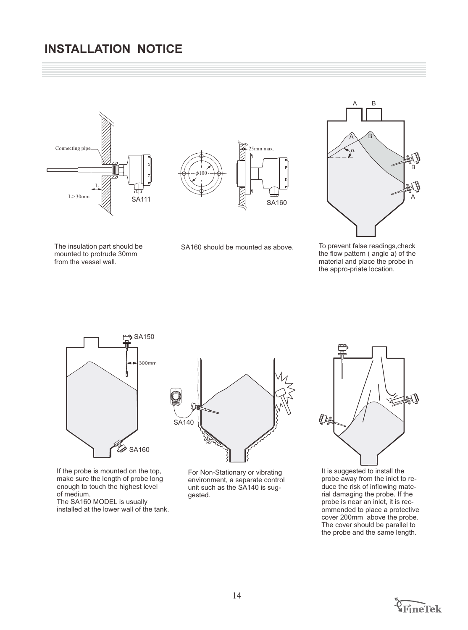## **INSTALLATION NOTICE**









The insulation part should be mounted to protrude 30mm from the vessel wall.

SA160 should be mounted as above. To prevent false readings,check

the flow pattern ( angle a) of the material and place the probe in the appro-priate location.



If the probe is mounted on the top, make sure the length of probe long enough to touch the highest level of medium.

The SA160 MODEL is usually installed at the lower wall of the tank.



For Non-Stationary or vibrating environment, a separate control unit such as the SA140 is suggested.



It is suggested to install the probe away from the inlet to reduce the risk of inflowing material damaging the probe. If the probe is near an inlet, it is recommended to place a protective cover 200mm above the probe. The cover should be parallel to the probe and the same length.

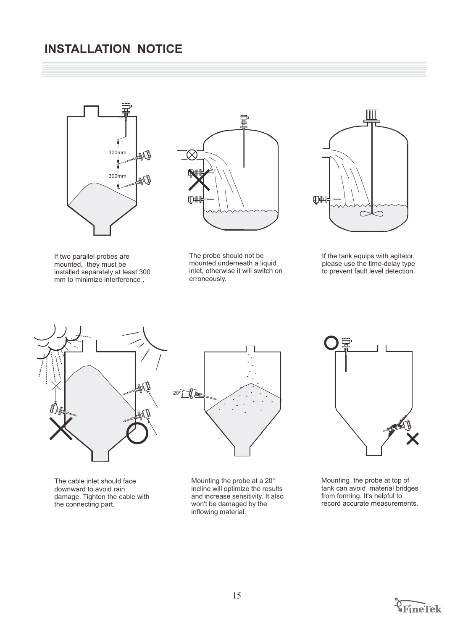## **INSTALLATION NOTICE**



If two parallel probes are mounted, they must be installed separately at least 300 mm to minimize interference .



The probe should not be mounted underneath a liquid inlet, otherwise it will switch on erroneously.



If the tank equips with agitator, please use the time-delay type to prevent fault level detection.





The cable inlet should face downward to avoid rain damage. Tighten the cable with the connecting part.

Mounting the probe at a 20 $^{\circ}$ incline will optimize the results and increase sensitivity. It also won't be damaged by the inflowing material.



Mounting the probe at top of tank can avoid material bridges from forming. It's helpful to record accurate measurements.

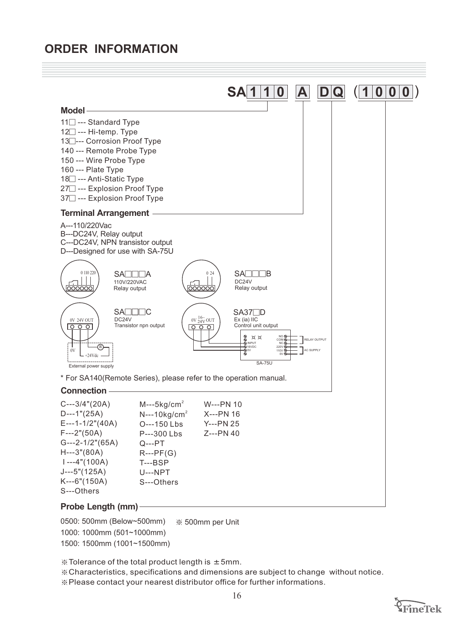## **ORDER INFORMATION**



500mm per Unit 0500: 500mm (Below~500mm) 1000: 1000mm (501~1000mm) 1500: 1500mm (1001~1500mm)

 $\%$  Tolerance of the total product length is  $\pm$  5mm.

※Characteristics, specifications and dimensions are subject to change without notice. ※Please contact your nearest distributor office for further informations.